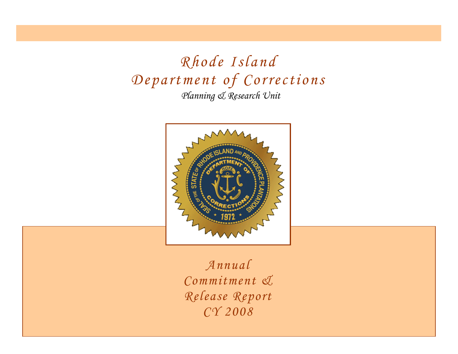*Planning & Research Unit Rhode Island Department of Corrections*



*Annual Commitment & Release Report CY 2008*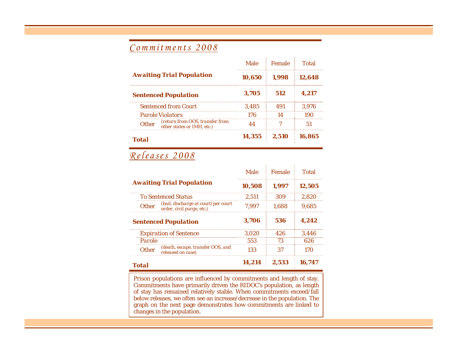### *Commitments 2008*

|                                                                     |        | Male Female    | <b>Total</b> |  |
|---------------------------------------------------------------------|--------|----------------|--------------|--|
| <b>Awaiting Trial Population</b>                                    |        | $10,650$ 1,998 | 12,648       |  |
| <b>Sentenced Population</b>                                         | 3,705  | 512            | 4.217        |  |
| <b>Sentenced from Court</b>                                         | 3.485  |                | 3.976        |  |
| <b>Parole Violators</b>                                             | 176    |                |              |  |
| Other (return from OOS, transfer from<br>other states or IMH, etc.) |        |                |              |  |
| Total                                                               | 14,355 | 2.510          | 16.865       |  |

## *Releases 2008*

|                                                                                  | Male   | Female | Total  |
|----------------------------------------------------------------------------------|--------|--------|--------|
| <b>Awaiting Trial Population</b>                                                 | 10.508 | 1.997  | 12.505 |
| <b>To Sentenced Status</b>                                                       | 2.511  | 309    | 2.820  |
| (bail, discharge at court/per court<br><b>Other</b><br>order, civil purge, etc.) | 7.997  | 1.688  | 9.685  |
| <b>Sentenced Population</b>                                                      | 3.706  | 536    | 4.242  |
| <b>Expiration of Sentence</b>                                                    | 3.020  | 426    | 3.446  |
| Parole                                                                           | 553    | 73     | 626    |
| (death, escape, transfer OOS, and<br>released on case)<br><b>Other</b>           | 133    | 37     | 170    |
| <b>Total</b>                                                                     | 14.214 | 2.533  | 16.747 |

Prison populations are influenced by commitments and length of stay. Commitments have primarily driven the RIDOC's population, as length of stay has remained relatively stable. When commitments exceed/fall below releases, we often see an increase/decrease in the population. The graph on the next page demonstrates how commitments are linked to changes in the population.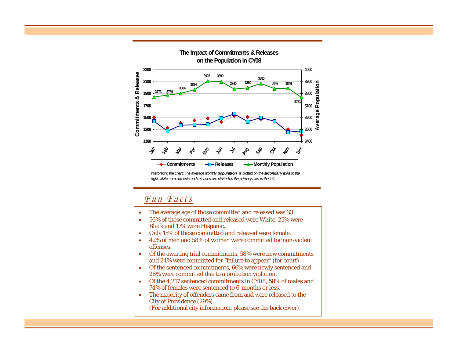

*right, while commitments and releases are plotted on the primary axis to the left.*

### *Fun Facts*

- •The average age of those committed and released was 33.
- • 56% of those committed and released were White, 25% were Black and 17% were Hispanic.
- •Only 15% of those committed and released were female.
- • 42% of men and 58% of women were committed for non-violent offenses.
- • Of the awaiting trial commitments, 58% were new commitments and 24% were committed for "failure to appear" (for court).
- Of the sentenced commitments, 66% were newly sentenced and 28% were committed due to a probation violation.
- Of the 4,217 sentenced commitments in CY08, 58% of males and 74% of females were sentenced to 6-months or less.
- • The majority of offenders came from and were released to the City of Providence (29%). (For additional city information, please see the back cover).